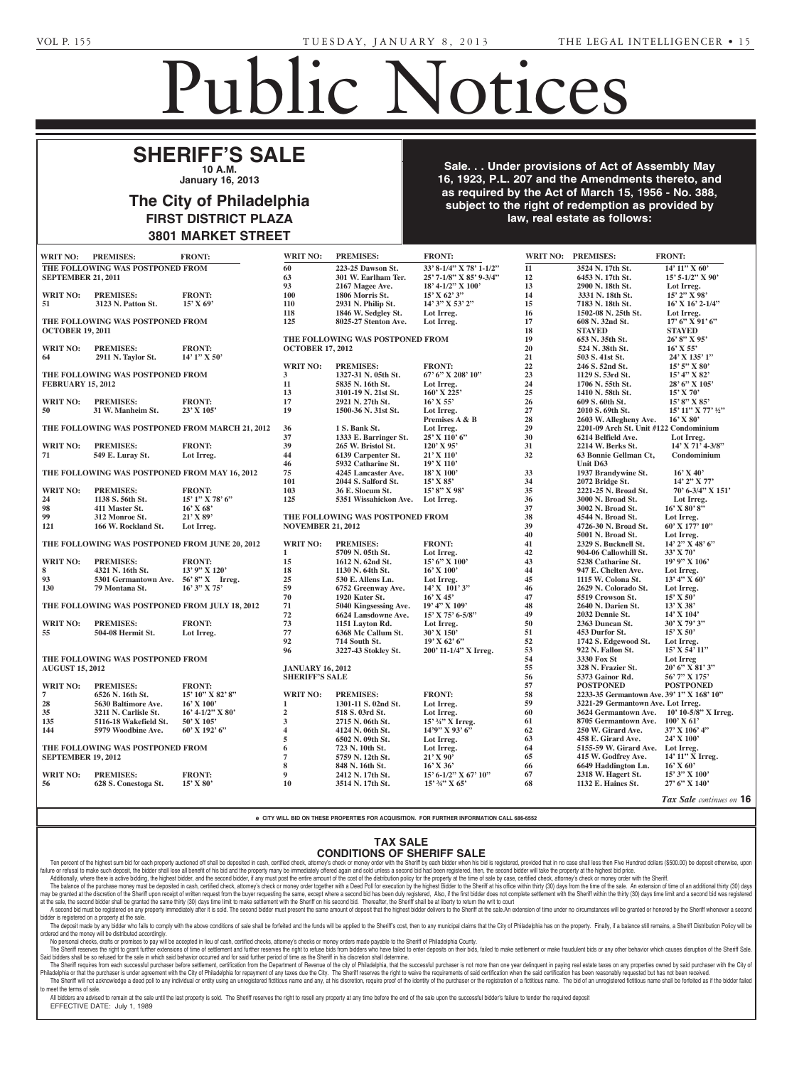**GENTIEU, ELISABETH YA-U, ELISABETH YA-U, ELISABETH YA-U, ELISABETH YA-U, ELISABETH YA-U, ELISABETH YA-U, ELIS Rose --- Norman Pierre Gentieu, An**na Pierre Gentieu, Anna Pierre Gentieu, Anna Pierre Gentieu, Anna Pierre Gen<br>1990 - Constantin Alexander Gentieu, Anna Pierre Gentieu, Anna Pierre Gentieu, Anna Pierre Gentieu, Anna Pier Jr., Executor, c/o Carolyn D. Commons, Esquire, 6377 Germantown Avenue, Philadelphia,

## Public Notices

100 Four Falls, Suite 300, West Conshohocken, PA 19428.

## **SHERIFF'S SALE 10 A.M.**

**January 16, 2013** 

### The City of Philadelphia **FIRST DISTRICT PLAZA 3801 MARKET STREET** Section 3162 of the Probate, of June 30, 1972 (Act No. 1972) y or Prinadelphia DISTRICT PLAZA WARNEI SIREEI

**known** *y* .0, 2010

**Sale. . . Under provisions of Act of Assembly May 16, 1923, P.L. 207 and the Amendments thereto, and Fig.**  $\blacksquare$  as required by the Act of March 15, 1956 - No. 388, subject to the right of redemption as provided by **daw, real estate as follows: ations Claiming Right, Title or Interest From or Interest From or Interest From Or** A. Terrill, II, Esquire, 100 Four hocken, PA 19428; John A. Territory rill, II, Attorney, Heckscher, Heckscher, Heckscher, Heckscher, Heckscher, Heckscher, Heckscher, Heckscher, He<br>Einzelnung der Erstellung der Erstellung der Erstellung der Erstellung der Erstellung der Erstellung der Erste Teillon, Terrill & Sager, P.C., P.C., P.C., P.C., P.C., P.C., P.C., P.C., P.C., P.C., P.C., P.C., P.C., P.C., ۔<br>Mortha Amandmante tharat  $\alpha$  and the American change for  $\alpha$ University in Figure **Successors, Superior Association** 

| <b>WRIT NO:</b>                                             | <b>PREMISES:</b>                               | <b>FRONT:</b>                                   | <b>WRIT NO:</b>          | <b>PREMISES:</b>                 | <b>FRONT:</b>                |                    | WRIT NO: PREMISES:                        | <b>FRONT:</b>            |
|-------------------------------------------------------------|------------------------------------------------|-------------------------------------------------|--------------------------|----------------------------------|------------------------------|--------------------|-------------------------------------------|--------------------------|
|                                                             | THE FOLLOWING WAS POSTPONED FROM               |                                                 | 60                       | 223-25 Dawson St.                | 33' 8-1/4" X 78' 1-1/2"      | 11                 | 3524 N. 17th St.                          | 14' 11" X 60'            |
| <b>SEPTEMBER 21, 2011</b>                                   |                                                |                                                 | 63                       | 301 W. Earlham Ter.              | 25' 7-1/8" X 85' 9-3/4"      | 12                 | 6453 N. 17th St.                          | $15'$ 5-1/2" X 90'       |
|                                                             |                                                |                                                 | 93                       | 2167 Magee Ave.                  | 18' 4-1/2" X 100'            | 13                 | 2900 N. 18th St.                          | Lot Irreg.               |
| <b>WRIT NO:</b>                                             | <b>PREMISES:</b>                               | <b>FRONT:</b>                                   | 100                      | 1806 Morris St.                  | $15'$ X 62' 3"               | 14                 | 3331 N. 18th St.                          | 15' 2" X 98'             |
| 51                                                          | 3123 N. Patton St.                             | $15'$ X 69'                                     | <b>110</b>               | 2931 N. Philip St.               | 14' 3" X 53' 2"              | 15                 | 7183 N. 18th St.                          | $16'$ X $16'$ 2- $1/4''$ |
|                                                             |                                                |                                                 | 118                      | 1846 W. Sedgley St.              | Lot Irreg.                   | 16                 | 1502-08 N. 25th St.                       | Lot Irreg.               |
| THE FOLLOWING WAS POSTPONED FROM<br><b>OCTOBER 19, 2011</b> |                                                |                                                 | 125                      | 8025-27 Stenton Ave.             | Lot Irreg.                   | 17                 | 608 N. 32nd St.                           | $17'$ 6" X 91' 6"        |
|                                                             |                                                |                                                 |                          |                                  |                              | 18                 | <b>STAYED</b>                             | <b>STAYED</b>            |
|                                                             |                                                |                                                 |                          | THE FOLLOWING WAS POSTPONED FROM |                              | 19                 | 653 N. 35th St.                           | 26' 8" X 95'             |
| <b>WRIT NO:</b>                                             | <b>PREMISES:</b>                               | <b>FRONT:</b>                                   | <b>OCTOBER 17, 2012</b>  |                                  |                              | 20                 | 524 N. 38th St.                           | $16'$ X 55'              |
| 64                                                          | 2911 N. Taylor St.                             | $14'1''$ X 50'                                  |                          |                                  |                              | 21                 | 503 S. 41st St.                           | 24' X 135' 1"            |
|                                                             |                                                |                                                 | <b>WRIT NO:</b>          | <b>PREMISES:</b>                 | <b>FRONT:</b>                | 22                 | 246 S. 52nd St.                           | 15' 5" X 80'             |
|                                                             | THE FOLLOWING WAS POSTPONED FROM               |                                                 | $\mathbf{3}$             | 1327-31 N. 05th St.              | 67' 6" X 208' 10"            | 23                 | 1129 S. 53rd St.                          | 15' 4" X 82'             |
| <b>FEBRUARY 15, 2012</b>                                    |                                                | 11                                              | 5835 N. 16th St.         | Lot Irreg.                       | ${\bf 24}$                   | 1706 N. 55th St.   | 28' 6" X 105'                             |                          |
|                                                             |                                                |                                                 | 13                       | 3101-19 N. 21st St.              | 160' X 225'                  | 25                 | 1410 N. 58th St.                          | $15'$ X 70'              |
| <b>WRIT NO:</b>                                             | <b>PREMISES:</b>                               | <b>FRONT:</b>                                   | 17                       | 2921 N. 27th St.                 | $16'$ X 55'                  | 26                 | 609 S. 60th St.                           | 15' 8" X 85'             |
| 50                                                          | 31 W. Manheim St.                              | 23' X 105'                                      | 19                       | 1500-36 N. 31st St.              | Lot Irreg.                   | 27                 | 2010 S. 69th St.                          | 15' 11" X 77' 1/2"       |
|                                                             |                                                |                                                 |                          |                                  | Premises A & B               | ${\bf 28}$         | 2603 W. Allegheny Ave.                    | $16'$ X $80'$            |
|                                                             |                                                | THE FOLLOWING WAS POSTPONED FROM MARCH 21, 2012 | 36                       | 1 S. Bank St.                    | Lot Irreg.                   | 29                 | 2201-09 Arch St. Unit #122 Condominium    |                          |
|                                                             |                                                |                                                 | 37                       | 1333 E. Barringer St.            | 25' X 110' 6"                | 30                 | 6214 Belfield Ave.                        |                          |
|                                                             |                                                |                                                 |                          |                                  |                              |                    |                                           | Lot Irreg.               |
| <b>WRIT NO:</b>                                             | <b>PREMISES:</b>                               | <b>FRONT:</b>                                   | 39                       | 265 W. Bristol St.               | 120' X 95'                   | 31                 | 2214 W. Berks St.                         | 14' X 71' 4-3/8"         |
| 71                                                          | 549 E. Luray St.                               | Lot Irreg.                                      | 44                       | 6139 Carpenter St.               | $21'$ X 110'                 | 32                 | 63 Bonnie Gellman Ct,                     | Condominium              |
|                                                             |                                                |                                                 | 46                       | 5932 Catharine St.               | $19'$ X $110'$               |                    | Unit D63                                  |                          |
|                                                             | THE FOLLOWING WAS POSTPONED FROM MAY 16, 2012  |                                                 | 75                       | 4245 Lancaster Ave.              | $18'$ X $100'$               | 33                 | 1937 Brandywine St.                       | $16'$ X 40'              |
|                                                             |                                                |                                                 | 101                      | 2044 S. Salford St.              | 15' X 85'                    | 34                 | 2072 Bridge St.                           | 14' 2" X 77'             |
| <b>WRIT NO:</b>                                             | <b>PREMISES:</b>                               | <b>FRONT:</b>                                   | 103                      | 36 E. Slocum St.                 | 15' 8" X 98'                 | 35                 | 2221-25 N. Broad St.                      | 70' 6-3/4" X 151'        |
| 24                                                          | 1138 S. 56th St.                               | 15' 1" X 78' 6"                                 | 125                      | 5351 Wissahickon Ave.            | Lot Irreg.                   | 36                 | 3000 N. Broad St.                         | Lot Irreg.               |
| 98                                                          | 411 Master St.                                 | $16'$ X 68'                                     |                          |                                  |                              | 37                 | 3002 N. Broad St.                         | $16'$ X 80' 8"           |
| 99                                                          | 312 Monroe St.                                 | $21'$ X 89'                                     |                          | THE FOLLOWING WAS POSTPONED FROM |                              | 38                 | 4544 N. Broad St.                         | Lot Irreg.               |
| 121                                                         | 166 W. Rockland St.                            | Lot Irreg.                                      | <b>NOVEMBER 21, 2012</b> |                                  |                              | 39                 | 4726-30 N. Broad St.                      | $60'$ X $177'$ $10''$    |
|                                                             |                                                |                                                 |                          |                                  |                              | 40                 | 5001 N. Broad St.                         | Lot Irreg.               |
|                                                             | THE FOLLOWING WAS POSTPONED FROM JUNE 20, 2012 |                                                 | <b>WRIT NO:</b>          | <b>PREMISES:</b>                 | <b>FRONT:</b>                | 41                 | 2329 S. Bucknell St.                      | 14' 2" X 48' 6"          |
|                                                             |                                                |                                                 | 1                        | 5709 N. 05th St.                 | Lot Irreg.                   | 42                 | 904-06 Callowhill St.                     | $33'$ X 70'              |
| <b>WRIT NO:</b>                                             | <b>PREMISES:</b>                               | <b>FRONT:</b>                                   | 15                       | 1612 N. 62nd St.                 | 15' 6" X 100'                | 43                 | 5238 Catharine St.                        | 19' 9" X 106'            |
| 8                                                           | 4321 N. 16th St.                               | 13' 9" X 120'                                   | 18                       | 1130 N. 64th St.                 | $16'$ X $100'$               | 44                 | 947 E. Chelten Ave.                       | Lot Irreg.               |
| 93                                                          | 5301 Germantown Ave. 56'8" X Irreg.            |                                                 | 25                       | 530 E. Allens Ln.                | Lot Irreg.                   | 45                 | 1115 W. Colona St.                        | $13'$ 4" X 60'           |
| 130                                                         | 79 Montana St.                                 | $16'3''$ X 75'                                  | 59                       | 6752 Greenway Ave.               | $14'$ X $101'$ 3"            | 46                 | 2629 N. Colorado St.                      | Lot Irreg.               |
|                                                             |                                                |                                                 | 70                       | 1920 Kater St.                   | $16'$ X 45'                  | 47                 | 5519 Crowson St.                          | $15'$ X 50'              |
|                                                             |                                                | 71                                              | 5040 Kingsessing Ave.    | 19' 4" X 109'                    | 48                           | 2640 N. Darien St. | $13'$ X 38'                               |                          |
| THE FOLLOWING WAS POSTPONED FROM JULY 18, 2012              |                                                |                                                 | 72                       | 6624 Lansdowne Ave.              | $15'$ X 75' 6-5/8"           | 49                 | 2032 Dennie St.                           | 14' X 104'               |
|                                                             |                                                |                                                 |                          |                                  |                              | 50                 | 2363 Duncan St.                           | 30' X 79' 3"             |
| <b>WRIT NO:</b>                                             | <b>PREMISES:</b>                               | <b>FRONT:</b>                                   | 73                       | 1151 Layton Rd.                  | Lot Irreg.                   |                    |                                           |                          |
| 55                                                          | 504-08 Hermit St.                              | Lot Irreg.                                      | 77                       | 6368 Mc Callum St.               | 30' X 150'                   | 51                 | 453 Durfor St.                            | $15'$ X 50'              |
|                                                             |                                                |                                                 | 92                       | 714 South St.                    | 19' X 62' 6''                | 52                 | 1742 S. Edgewood St.                      | Lot Irreg.               |
|                                                             |                                                |                                                 | 96                       | 3227-43 Stokley St.              | 200' 11-1/4" X Irreg.        | 53                 | 922 N. Fallon St.                         | 15' X 54' 11"            |
| THE FOLLOWING WAS POSTPONED FROM<br><b>AUGUST 15, 2012</b>  |                                                |                                                 |                          |                                  |                              | 54                 | 3330 Fox St                               | Lot Irreg                |
|                                                             |                                                |                                                 | <b>JANUARY 16, 2012</b>  |                                  |                              | 55                 | 328 N. Frazier St.                        | 20' 6" X 81' 3"          |
|                                                             |                                                |                                                 | <b>SHERIFF'S SALE</b>    |                                  |                              | 56                 | 5373 Gainor Rd.                           | 56' 7" X 175'            |
| WRIT NO:                                                    | <b>PREMISES:</b>                               | <b>FRONT:</b>                                   |                          |                                  |                              | 57                 | <b>POSTPONED</b>                          | <b>POSTPONED</b>         |
| $\overline{7}$                                              | 6526 N. 16th St.                               | $15'$ $10''$ X $82'$ $8''$                      | <b>WRIT NO:</b>          | <b>PREMISES:</b>                 | <b>FRONT:</b>                | 58                 | 2233-35 Germantown Ave. 39' 1" X 168' 10" |                          |
| ${\bf 28}$                                                  | 5630 Baltimore Ave.                            | $16'$ X $100'$                                  | 1                        | 1301-11 S. 02nd St.              | Lot Irreg.                   | 59                 | 3221-29 Germantown Ave. Lot Irreg.        |                          |
| 35                                                          | 3211 N. Carlisle St.                           | $16' 4-1/2''$ X 80'                             | $\overline{2}$           | 518 S. 03rd St.                  | Lot Irreg.                   | 60                 | <b>3624 Germantown Ave.</b>               | $10' 10-5/8"$ X Irreg.   |
| 135                                                         | 5116-18 Wakefield St.                          | $50'$ X $105'$                                  | 3                        | 2715 N. 06th St.                 | 15' 34" X Irreg.             | 61                 | 8705 Germantown Ave.                      | $100'$ X 61'             |
| 144                                                         | 5979 Woodbine Ave.                             | $60'$ X 192' $6''$                              | 4                        | 4124 N. 06th St.                 | $14'9''$ X 93' 6"            | 62                 | 250 W. Girard Ave.                        | $37'$ X $106'$ 4"        |
|                                                             |                                                |                                                 | 5                        | 6502 N. 09th St.                 | Lot Irreg.                   | 63                 | 458 E. Girard Ave.                        | $24'$ X $100'$           |
| THE FOLLOWING WAS POSTPONED FROM                            |                                                |                                                 | 6                        | 723 N. 10th St.                  | Lot Irreg.                   | 64                 | 5155-59 W. Girard Ave. Lot Irreg.         |                          |
| <b>SEPTEMBER 19, 2012</b>                                   |                                                |                                                 | 7                        | 5759 N. 12th St.                 | $21'$ X 90'                  | 65                 | 415 W. Godfrey Ave.                       | 14' 11" X Irreg.         |
|                                                             |                                                |                                                 |                          | 848 N. 16th St.                  |                              | 66                 | 6649 Haddington Ln.                       | $16'$ X 60'              |
|                                                             | <b>PREMISES:</b>                               |                                                 | 8                        |                                  | $16'$ X 36'                  |                    |                                           |                          |
|                                                             |                                                | <b>FRONT:</b>                                   | 9                        | 2412 N. 17th St.                 | $15' 6 - 1/2''$ X 67' $10''$ | 67                 | 2318 W. Hagert St.                        | 15' 3" X 100'            |
| WRIT NO:<br>56                                              | 628 S. Conestoga St.                           | $15'$ X 80'                                     | 10                       | 3514 N. 17th St.                 | $15'$ $\frac{3}{4}$ " X 65'  | 68                 | 1132 E. Haines St.                        | 27' 6" X 140'            |

e CITY WILL BID ON THESE PROPERTIES FOR ACQUISITION. FOR FURTHER INFORMATION CALL 686-6552<br>-PROPERTIES FOR ACQUIS

## TAX SALE **CONDITIONS OF SHERIFF SALE Supreme Court of Pennsylvania THE DISCIPLINATION**

**Elaine M. Bixler**

Ten percent of the highest sum bid for each property auctioned off shall be deposited in cash, certified check, attorney's check or money order with the Sheriff by each bidder when his bid is registered, provided that in n recommended to the state in the state of the biddle state in the biddle state of the biddle state of the biddle state of the state of the biddle state in the state of the biddle state in the state of the biddle state in th Additionally, where there is active bidding, the highest bidder, and the second bidder, if any must post the entire amount of the cost of the distribution policy for the property at the time of sale by case, certified chec

The balance of the purchase money must be deposited in cash, certified check, attorney's check or money order together with a Deed Poll for execution by the highest Bidder to the Sherifft at his office within thirty (30) d may be granted at the discretion of the Sheriff upon receipt of written request from the buyer requesting the same, except where a second bid has been duly registered, Also, if the first bidder does not complete settlement at the sale, the second bidder shall be granted the same thirty (30) days time limit to make settlement with the Sheriff on his second bid. Thereafter, the Sheriff shall be at liberty to return the writ to court

A second bid must be registered on any property immediately after it is sold. The second bidder must present the same amount of deposit that the nighest bidder delivers to the Sheriff at the sale.An extension of time under bidder is registered on a property at the sale. The deposit made by any bidder who fails to comply with the above conditions of sale shall be forfeited and the funds will be applied to the Sheriff's cost, then to any municipal claims that the City of Philadelphia has on

ordered and the money will be distributed accordingly.<br>No personal checks, drafts or promises to pay will be accepted in lieu of cash, certified checks, attorney's checks or money orders made payable to the Sheriff of Phil No personal checks, drafts or promises to pay will cepted in lieu of cash, certified checks, attorney's checks

The Sheriff reserves the right to grant further extensions of time of settlement and further reserves the right to refuse bids from bidders who have failed to enter deposits on their bids, failed to make settlement or make Said bidders shall be so refused for the sale in which said behavior occurred and for said further period of time as the Sheriff in his discretion shall determine.

The Sheriff requires from each successful purchaser before settlement, certain from the Department of Revenue of the city of Philadelphia, that the successful purchaser is not more than one year ellinquent in paying real e  $\Box$ The Sherm will not acknowledge a deed poil to any individual or entity using an unregistered fictitious name and any, at his discretion, require proof of the dentity of the purchaser or the registration of a fictitious nam The Sheriff Will not act<br>to meet the terms of sale.

eet me terms or sale.<br>All bidders are advised to remain at the sale until the last property is sold. The Sheriff reserves the right to resell any property at any time before the end of the sale upon the successful bidder's EFFECTIVE DATE: July 1, 1989

**MORRIS, JAMES A.** -- Peter T.